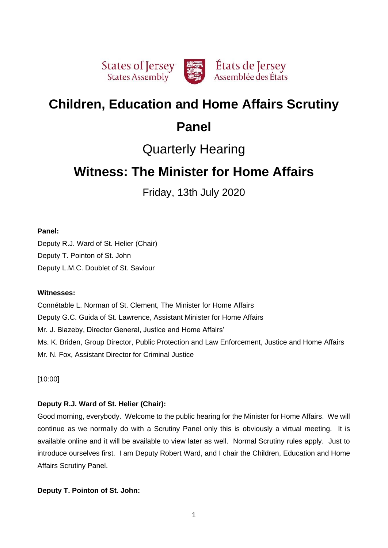

# **Children, Education and Home Affairs Scrutiny**

# **Panel**

# Quarterly Hearing

# **Witness: The Minister for Home Affairs**

Friday, 13th July 2020

# **Panel:**

Deputy R.J. Ward of St. Helier (Chair) Deputy T. Pointon of St. John Deputy L.M.C. Doublet of St. Saviour

# **Witnesses:**

Connétable L. Norman of St. Clement, The Minister for Home Affairs Deputy G.C. Guida of St. Lawrence, Assistant Minister for Home Affairs Mr. J. Blazeby, Director General, Justice and Home Affairs' Ms. K. Briden, Group Director, Public Protection and Law Enforcement, Justice and Home Affairs Mr. N. Fox, Assistant Director for Criminal Justice

[10:00]

# **Deputy R.J. Ward of St. Helier (Chair):**

Good morning, everybody. Welcome to the public hearing for the Minister for Home Affairs. We will continue as we normally do with a Scrutiny Panel only this is obviously a virtual meeting. It is available online and it will be available to view later as well. Normal Scrutiny rules apply. Just to introduce ourselves first. I am Deputy Robert Ward, and I chair the Children, Education and Home Affairs Scrutiny Panel.

# **Deputy T. Pointon of St. John:**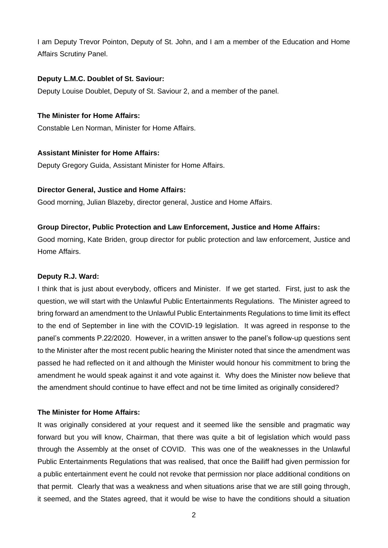I am Deputy Trevor Pointon, Deputy of St. John, and I am a member of the Education and Home Affairs Scrutiny Panel.

## **Deputy L.M.C. Doublet of St. Saviour:**

Deputy Louise Doublet, Deputy of St. Saviour 2, and a member of the panel.

## **The Minister for Home Affairs:**

Constable Len Norman, Minister for Home Affairs.

## **Assistant Minister for Home Affairs:**

Deputy Gregory Guida, Assistant Minister for Home Affairs.

## **Director General, Justice and Home Affairs:**

Good morning, Julian Blazeby, director general, Justice and Home Affairs.

## **Group Director, Public Protection and Law Enforcement, Justice and Home Affairs:**

Good morning, Kate Briden, group director for public protection and law enforcement, Justice and Home Affairs.

#### **Deputy R.J. Ward:**

I think that is just about everybody, officers and Minister. If we get started. First, just to ask the question, we will start with the Unlawful Public Entertainments Regulations. The Minister agreed to bring forward an amendment to the Unlawful Public Entertainments Regulations to time limit its effect to the end of September in line with the COVID-19 legislation. It was agreed in response to the panel's comments P.22/2020. However, in a written answer to the panel's follow-up questions sent to the Minister after the most recent public hearing the Minister noted that since the amendment was passed he had reflected on it and although the Minister would honour his commitment to bring the amendment he would speak against it and vote against it. Why does the Minister now believe that the amendment should continue to have effect and not be time limited as originally considered?

# **The Minister for Home Affairs:**

It was originally considered at your request and it seemed like the sensible and pragmatic way forward but you will know, Chairman, that there was quite a bit of legislation which would pass through the Assembly at the onset of COVID. This was one of the weaknesses in the Unlawful Public Entertainments Regulations that was realised, that once the Bailiff had given permission for a public entertainment event he could not revoke that permission nor place additional conditions on that permit. Clearly that was a weakness and when situations arise that we are still going through, it seemed, and the States agreed, that it would be wise to have the conditions should a situation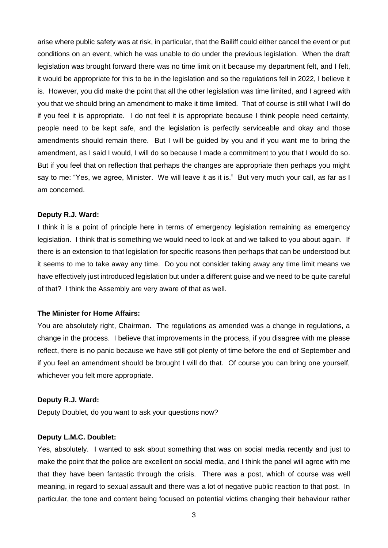arise where public safety was at risk, in particular, that the Bailiff could either cancel the event or put conditions on an event, which he was unable to do under the previous legislation. When the draft legislation was brought forward there was no time limit on it because my department felt, and I felt, it would be appropriate for this to be in the legislation and so the regulations fell in 2022, I believe it is. However, you did make the point that all the other legislation was time limited, and I agreed with you that we should bring an amendment to make it time limited. That of course is still what I will do if you feel it is appropriate. I do not feel it is appropriate because I think people need certainty, people need to be kept safe, and the legislation is perfectly serviceable and okay and those amendments should remain there. But I will be guided by you and if you want me to bring the amendment, as I said I would, I will do so because I made a commitment to you that I would do so. But if you feel that on reflection that perhaps the changes are appropriate then perhaps you might say to me: "Yes, we agree, Minister. We will leave it as it is." But very much your call, as far as I am concerned.

#### **Deputy R.J. Ward:**

I think it is a point of principle here in terms of emergency legislation remaining as emergency legislation. I think that is something we would need to look at and we talked to you about again. If there is an extension to that legislation for specific reasons then perhaps that can be understood but it seems to me to take away any time. Do you not consider taking away any time limit means we have effectively just introduced legislation but under a different guise and we need to be quite careful of that? I think the Assembly are very aware of that as well.

## **The Minister for Home Affairs:**

You are absolutely right, Chairman. The regulations as amended was a change in regulations, a change in the process. I believe that improvements in the process, if you disagree with me please reflect, there is no panic because we have still got plenty of time before the end of September and if you feel an amendment should be brought I will do that. Of course you can bring one yourself, whichever you felt more appropriate.

## **Deputy R.J. Ward:**

Deputy Doublet, do you want to ask your questions now?

#### **Deputy L.M.C. Doublet:**

Yes, absolutely. I wanted to ask about something that was on social media recently and just to make the point that the police are excellent on social media, and I think the panel will agree with me that they have been fantastic through the crisis. There was a post, which of course was well meaning, in regard to sexual assault and there was a lot of negative public reaction to that post. In particular, the tone and content being focused on potential victims changing their behaviour rather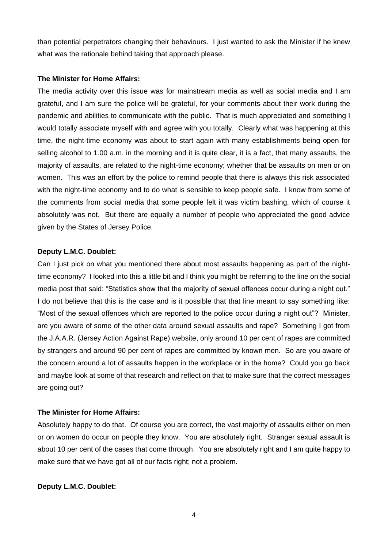than potential perpetrators changing their behaviours. I just wanted to ask the Minister if he knew what was the rationale behind taking that approach please.

#### **The Minister for Home Affairs:**

The media activity over this issue was for mainstream media as well as social media and I am grateful, and I am sure the police will be grateful, for your comments about their work during the pandemic and abilities to communicate with the public. That is much appreciated and something I would totally associate myself with and agree with you totally. Clearly what was happening at this time, the night-time economy was about to start again with many establishments being open for selling alcohol to 1.00 a.m. in the morning and it is quite clear, it is a fact, that many assaults, the majority of assaults, are related to the night-time economy; whether that be assaults on men or on women. This was an effort by the police to remind people that there is always this risk associated with the night-time economy and to do what is sensible to keep people safe. I know from some of the comments from social media that some people felt it was victim bashing, which of course it absolutely was not. But there are equally a number of people who appreciated the good advice given by the States of Jersey Police.

## **Deputy L.M.C. Doublet:**

Can I just pick on what you mentioned there about most assaults happening as part of the nighttime economy? I looked into this a little bit and I think you might be referring to the line on the social media post that said: "Statistics show that the majority of sexual offences occur during a night out." I do not believe that this is the case and is it possible that that line meant to say something like: "Most of the sexual offences which are reported to the police occur during a night out"? Minister, are you aware of some of the other data around sexual assaults and rape? Something I got from the J.A.A.R. (Jersey Action Against Rape) website, only around 10 per cent of rapes are committed by strangers and around 90 per cent of rapes are committed by known men. So are you aware of the concern around a lot of assaults happen in the workplace or in the home? Could you go back and maybe look at some of that research and reflect on that to make sure that the correct messages are going out?

#### **The Minister for Home Affairs:**

Absolutely happy to do that. Of course you are correct, the vast majority of assaults either on men or on women do occur on people they know. You are absolutely right. Stranger sexual assault is about 10 per cent of the cases that come through. You are absolutely right and I am quite happy to make sure that we have got all of our facts right; not a problem.

## **Deputy L.M.C. Doublet:**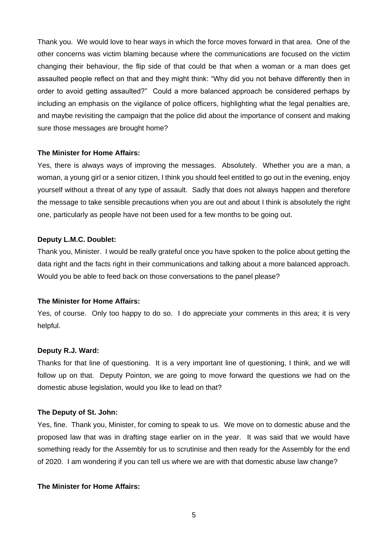Thank you. We would love to hear ways in which the force moves forward in that area. One of the other concerns was victim blaming because where the communications are focused on the victim changing their behaviour, the flip side of that could be that when a woman or a man does get assaulted people reflect on that and they might think: "Why did you not behave differently then in order to avoid getting assaulted?" Could a more balanced approach be considered perhaps by including an emphasis on the vigilance of police officers, highlighting what the legal penalties are, and maybe revisiting the campaign that the police did about the importance of consent and making sure those messages are brought home?

## **The Minister for Home Affairs:**

Yes, there is always ways of improving the messages. Absolutely. Whether you are a man, a woman, a young girl or a senior citizen, I think you should feel entitled to go out in the evening, enjoy yourself without a threat of any type of assault. Sadly that does not always happen and therefore the message to take sensible precautions when you are out and about I think is absolutely the right one, particularly as people have not been used for a few months to be going out.

## **Deputy L.M.C. Doublet:**

Thank you, Minister. I would be really grateful once you have spoken to the police about getting the data right and the facts right in their communications and talking about a more balanced approach. Would you be able to feed back on those conversations to the panel please?

#### **The Minister for Home Affairs:**

Yes, of course. Only too happy to do so. I do appreciate your comments in this area; it is very helpful.

#### **Deputy R.J. Ward:**

Thanks for that line of questioning. It is a very important line of questioning, I think, and we will follow up on that. Deputy Pointon, we are going to move forward the questions we had on the domestic abuse legislation, would you like to lead on that?

#### **The Deputy of St. John:**

Yes, fine. Thank you, Minister, for coming to speak to us. We move on to domestic abuse and the proposed law that was in drafting stage earlier on in the year. It was said that we would have something ready for the Assembly for us to scrutinise and then ready for the Assembly for the end of 2020. I am wondering if you can tell us where we are with that domestic abuse law change?

#### **The Minister for Home Affairs:**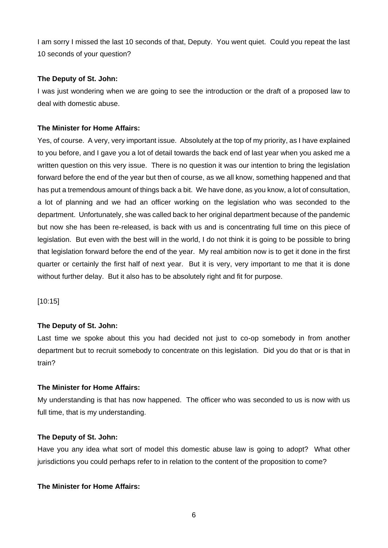I am sorry I missed the last 10 seconds of that, Deputy. You went quiet. Could you repeat the last 10 seconds of your question?

## **The Deputy of St. John:**

I was just wondering when we are going to see the introduction or the draft of a proposed law to deal with domestic abuse.

# **The Minister for Home Affairs:**

Yes, of course. A very, very important issue. Absolutely at the top of my priority, as I have explained to you before, and I gave you a lot of detail towards the back end of last year when you asked me a written question on this very issue. There is no question it was our intention to bring the legislation forward before the end of the year but then of course, as we all know, something happened and that has put a tremendous amount of things back a bit. We have done, as you know, a lot of consultation, a lot of planning and we had an officer working on the legislation who was seconded to the department. Unfortunately, she was called back to her original department because of the pandemic but now she has been re-released, is back with us and is concentrating full time on this piece of legislation. But even with the best will in the world, I do not think it is going to be possible to bring that legislation forward before the end of the year. My real ambition now is to get it done in the first quarter or certainly the first half of next year. But it is very, very important to me that it is done without further delay. But it also has to be absolutely right and fit for purpose.

[10:15]

# **The Deputy of St. John:**

Last time we spoke about this you had decided not just to co-op somebody in from another department but to recruit somebody to concentrate on this legislation. Did you do that or is that in train?

# **The Minister for Home Affairs:**

My understanding is that has now happened. The officer who was seconded to us is now with us full time, that is my understanding.

## **The Deputy of St. John:**

Have you any idea what sort of model this domestic abuse law is going to adopt? What other jurisdictions you could perhaps refer to in relation to the content of the proposition to come?

# **The Minister for Home Affairs:**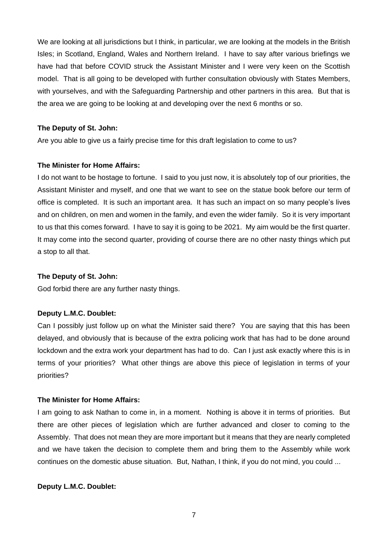We are looking at all jurisdictions but I think, in particular, we are looking at the models in the British Isles; in Scotland, England, Wales and Northern Ireland. I have to say after various briefings we have had that before COVID struck the Assistant Minister and I were very keen on the Scottish model. That is all going to be developed with further consultation obviously with States Members, with yourselves, and with the Safeguarding Partnership and other partners in this area. But that is the area we are going to be looking at and developing over the next 6 months or so.

## **The Deputy of St. John:**

Are you able to give us a fairly precise time for this draft legislation to come to us?

#### **The Minister for Home Affairs:**

I do not want to be hostage to fortune. I said to you just now, it is absolutely top of our priorities, the Assistant Minister and myself, and one that we want to see on the statue book before our term of office is completed. It is such an important area. It has such an impact on so many people's lives and on children, on men and women in the family, and even the wider family. So it is very important to us that this comes forward. I have to say it is going to be 2021. My aim would be the first quarter. It may come into the second quarter, providing of course there are no other nasty things which put a stop to all that.

#### **The Deputy of St. John:**

God forbid there are any further nasty things.

#### **Deputy L.M.C. Doublet:**

Can I possibly just follow up on what the Minister said there? You are saying that this has been delayed, and obviously that is because of the extra policing work that has had to be done around lockdown and the extra work your department has had to do. Can I just ask exactly where this is in terms of your priorities? What other things are above this piece of legislation in terms of your priorities?

#### **The Minister for Home Affairs:**

I am going to ask Nathan to come in, in a moment. Nothing is above it in terms of priorities. But there are other pieces of legislation which are further advanced and closer to coming to the Assembly. That does not mean they are more important but it means that they are nearly completed and we have taken the decision to complete them and bring them to the Assembly while work continues on the domestic abuse situation. But, Nathan, I think, if you do not mind, you could ...

#### **Deputy L.M.C. Doublet:**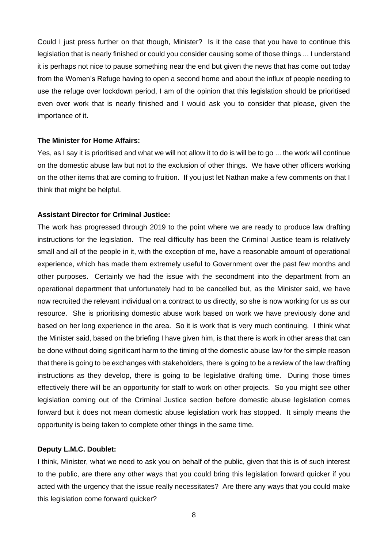Could I just press further on that though, Minister? Is it the case that you have to continue this legislation that is nearly finished or could you consider causing some of those things ... I understand it is perhaps not nice to pause something near the end but given the news that has come out today from the Women's Refuge having to open a second home and about the influx of people needing to use the refuge over lockdown period, I am of the opinion that this legislation should be prioritised even over work that is nearly finished and I would ask you to consider that please, given the importance of it.

#### **The Minister for Home Affairs:**

Yes, as I say it is prioritised and what we will not allow it to do is will be to go ... the work will continue on the domestic abuse law but not to the exclusion of other things. We have other officers working on the other items that are coming to fruition. If you just let Nathan make a few comments on that I think that might be helpful.

#### **Assistant Director for Criminal Justice:**

The work has progressed through 2019 to the point where we are ready to produce law drafting instructions for the legislation. The real difficulty has been the Criminal Justice team is relatively small and all of the people in it, with the exception of me, have a reasonable amount of operational experience, which has made them extremely useful to Government over the past few months and other purposes. Certainly we had the issue with the secondment into the department from an operational department that unfortunately had to be cancelled but, as the Minister said, we have now recruited the relevant individual on a contract to us directly, so she is now working for us as our resource. She is prioritising domestic abuse work based on work we have previously done and based on her long experience in the area. So it is work that is very much continuing. I think what the Minister said, based on the briefing I have given him, is that there is work in other areas that can be done without doing significant harm to the timing of the domestic abuse law for the simple reason that there is going to be exchanges with stakeholders, there is going to be a review of the law drafting instructions as they develop, there is going to be legislative drafting time. During those times effectively there will be an opportunity for staff to work on other projects. So you might see other legislation coming out of the Criminal Justice section before domestic abuse legislation comes forward but it does not mean domestic abuse legislation work has stopped. It simply means the opportunity is being taken to complete other things in the same time.

#### **Deputy L.M.C. Doublet:**

I think, Minister, what we need to ask you on behalf of the public, given that this is of such interest to the public, are there any other ways that you could bring this legislation forward quicker if you acted with the urgency that the issue really necessitates? Are there any ways that you could make this legislation come forward quicker?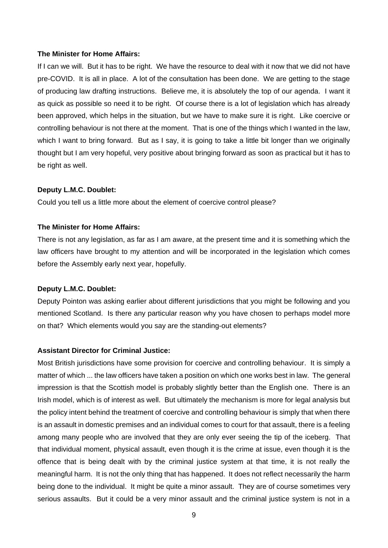#### **The Minister for Home Affairs:**

If I can we will. But it has to be right. We have the resource to deal with it now that we did not have pre-COVID. It is all in place. A lot of the consultation has been done. We are getting to the stage of producing law drafting instructions. Believe me, it is absolutely the top of our agenda. I want it as quick as possible so need it to be right. Of course there is a lot of legislation which has already been approved, which helps in the situation, but we have to make sure it is right. Like coercive or controlling behaviour is not there at the moment. That is one of the things which I wanted in the law, which I want to bring forward. But as I say, it is going to take a little bit longer than we originally thought but I am very hopeful, very positive about bringing forward as soon as practical but it has to be right as well.

#### **Deputy L.M.C. Doublet:**

Could you tell us a little more about the element of coercive control please?

#### **The Minister for Home Affairs:**

There is not any legislation, as far as I am aware, at the present time and it is something which the law officers have brought to my attention and will be incorporated in the legislation which comes before the Assembly early next year, hopefully.

#### **Deputy L.M.C. Doublet:**

Deputy Pointon was asking earlier about different jurisdictions that you might be following and you mentioned Scotland. Is there any particular reason why you have chosen to perhaps model more on that? Which elements would you say are the standing-out elements?

#### **Assistant Director for Criminal Justice:**

Most British jurisdictions have some provision for coercive and controlling behaviour. It is simply a matter of which ... the law officers have taken a position on which one works best in law. The general impression is that the Scottish model is probably slightly better than the English one. There is an Irish model, which is of interest as well. But ultimately the mechanism is more for legal analysis but the policy intent behind the treatment of coercive and controlling behaviour is simply that when there is an assault in domestic premises and an individual comes to court for that assault, there is a feeling among many people who are involved that they are only ever seeing the tip of the iceberg. That that individual moment, physical assault, even though it is the crime at issue, even though it is the offence that is being dealt with by the criminal justice system at that time, it is not really the meaningful harm. It is not the only thing that has happened. It does not reflect necessarily the harm being done to the individual. It might be quite a minor assault. They are of course sometimes very serious assaults. But it could be a very minor assault and the criminal justice system is not in a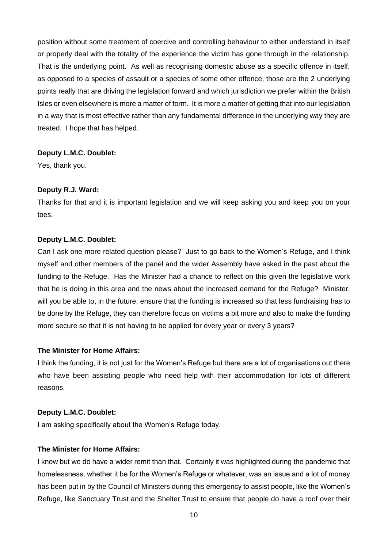position without some treatment of coercive and controlling behaviour to either understand in itself or properly deal with the totality of the experience the victim has gone through in the relationship. That is the underlying point. As well as recognising domestic abuse as a specific offence in itself, as opposed to a species of assault or a species of some other offence, those are the 2 underlying points really that are driving the legislation forward and which jurisdiction we prefer within the British Isles or even elsewhere is more a matter of form. It is more a matter of getting that into our legislation in a way that is most effective rather than any fundamental difference in the underlying way they are treated. I hope that has helped.

## **Deputy L.M.C. Doublet:**

Yes, thank you.

#### **Deputy R.J. Ward:**

Thanks for that and it is important legislation and we will keep asking you and keep you on your toes.

## **Deputy L.M.C. Doublet:**

Can I ask one more related question please? Just to go back to the Women's Refuge, and I think myself and other members of the panel and the wider Assembly have asked in the past about the funding to the Refuge. Has the Minister had a chance to reflect on this given the legislative work that he is doing in this area and the news about the increased demand for the Refuge? Minister, will you be able to, in the future, ensure that the funding is increased so that less fundraising has to be done by the Refuge, they can therefore focus on victims a bit more and also to make the funding more secure so that it is not having to be applied for every year or every 3 years?

## **The Minister for Home Affairs:**

I think the funding, it is not just for the Women's Refuge but there are a lot of organisations out there who have been assisting people who need help with their accommodation for lots of different reasons.

## **Deputy L.M.C. Doublet:**

I am asking specifically about the Women's Refuge today.

## **The Minister for Home Affairs:**

I know but we do have a wider remit than that. Certainly it was highlighted during the pandemic that homelessness, whether it be for the Women's Refuge or whatever, was an issue and a lot of money has been put in by the Council of Ministers during this emergency to assist people, like the Women's Refuge, like Sanctuary Trust and the Shelter Trust to ensure that people do have a roof over their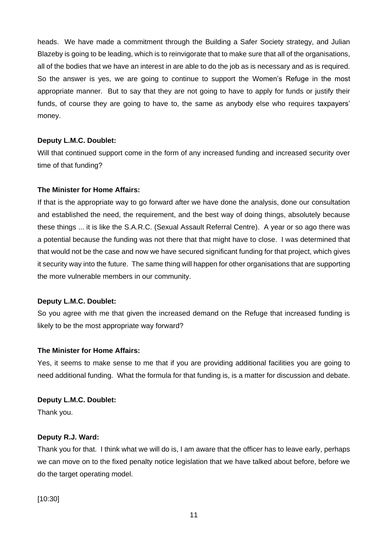heads. We have made a commitment through the Building a Safer Society strategy, and Julian Blazeby is going to be leading, which is to reinvigorate that to make sure that all of the organisations, all of the bodies that we have an interest in are able to do the job as is necessary and as is required. So the answer is yes, we are going to continue to support the Women's Refuge in the most appropriate manner. But to say that they are not going to have to apply for funds or justify their funds, of course they are going to have to, the same as anybody else who requires taxpayers' money.

# **Deputy L.M.C. Doublet:**

Will that continued support come in the form of any increased funding and increased security over time of that funding?

# **The Minister for Home Affairs:**

If that is the appropriate way to go forward after we have done the analysis, done our consultation and established the need, the requirement, and the best way of doing things, absolutely because these things ... it is like the S.A.R.C. (Sexual Assault Referral Centre). A year or so ago there was a potential because the funding was not there that that might have to close. I was determined that that would not be the case and now we have secured significant funding for that project, which gives it security way into the future. The same thing will happen for other organisations that are supporting the more vulnerable members in our community.

# **Deputy L.M.C. Doublet:**

So you agree with me that given the increased demand on the Refuge that increased funding is likely to be the most appropriate way forward?

# **The Minister for Home Affairs:**

Yes, it seems to make sense to me that if you are providing additional facilities you are going to need additional funding. What the formula for that funding is, is a matter for discussion and debate.

# **Deputy L.M.C. Doublet:**

Thank you.

# **Deputy R.J. Ward:**

Thank you for that. I think what we will do is, I am aware that the officer has to leave early, perhaps we can move on to the fixed penalty notice legislation that we have talked about before, before we do the target operating model.

[10:30]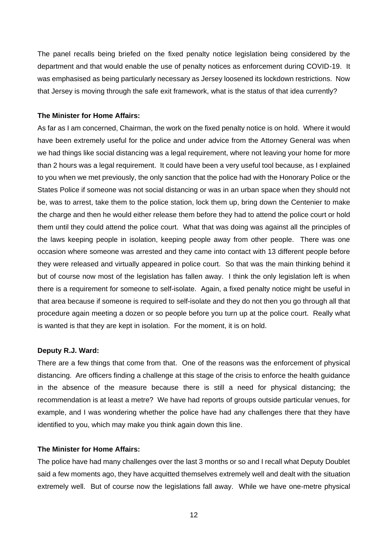The panel recalls being briefed on the fixed penalty notice legislation being considered by the department and that would enable the use of penalty notices as enforcement during COVID-19. It was emphasised as being particularly necessary as Jersey loosened its lockdown restrictions. Now that Jersey is moving through the safe exit framework, what is the status of that idea currently?

#### **The Minister for Home Affairs:**

As far as I am concerned, Chairman, the work on the fixed penalty notice is on hold. Where it would have been extremely useful for the police and under advice from the Attorney General was when we had things like social distancing was a legal requirement, where not leaving your home for more than 2 hours was a legal requirement. It could have been a very useful tool because, as I explained to you when we met previously, the only sanction that the police had with the Honorary Police or the States Police if someone was not social distancing or was in an urban space when they should not be, was to arrest, take them to the police station, lock them up, bring down the Centenier to make the charge and then he would either release them before they had to attend the police court or hold them until they could attend the police court. What that was doing was against all the principles of the laws keeping people in isolation, keeping people away from other people. There was one occasion where someone was arrested and they came into contact with 13 different people before they were released and virtually appeared in police court. So that was the main thinking behind it but of course now most of the legislation has fallen away. I think the only legislation left is when there is a requirement for someone to self-isolate. Again, a fixed penalty notice might be useful in that area because if someone is required to self-isolate and they do not then you go through all that procedure again meeting a dozen or so people before you turn up at the police court. Really what is wanted is that they are kept in isolation. For the moment, it is on hold.

#### **Deputy R.J. Ward:**

There are a few things that come from that. One of the reasons was the enforcement of physical distancing. Are officers finding a challenge at this stage of the crisis to enforce the health guidance in the absence of the measure because there is still a need for physical distancing; the recommendation is at least a metre? We have had reports of groups outside particular venues, for example, and I was wondering whether the police have had any challenges there that they have identified to you, which may make you think again down this line.

#### **The Minister for Home Affairs:**

The police have had many challenges over the last 3 months or so and I recall what Deputy Doublet said a few moments ago, they have acquitted themselves extremely well and dealt with the situation extremely well. But of course now the legislations fall away. While we have one-metre physical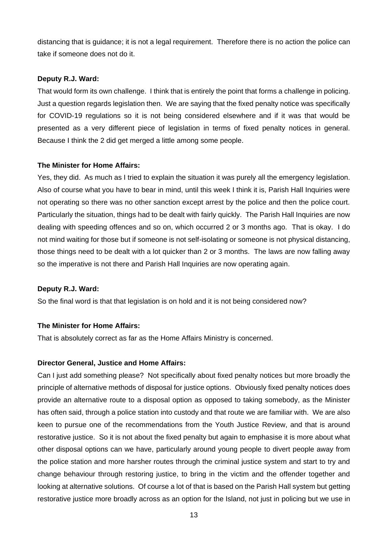distancing that is guidance; it is not a legal requirement. Therefore there is no action the police can take if someone does not do it.

## **Deputy R.J. Ward:**

That would form its own challenge. I think that is entirely the point that forms a challenge in policing. Just a question regards legislation then. We are saying that the fixed penalty notice was specifically for COVID-19 regulations so it is not being considered elsewhere and if it was that would be presented as a very different piece of legislation in terms of fixed penalty notices in general. Because I think the 2 did get merged a little among some people.

## **The Minister for Home Affairs:**

Yes, they did. As much as I tried to explain the situation it was purely all the emergency legislation. Also of course what you have to bear in mind, until this week I think it is, Parish Hall Inquiries were not operating so there was no other sanction except arrest by the police and then the police court. Particularly the situation, things had to be dealt with fairly quickly. The Parish Hall Inquiries are now dealing with speeding offences and so on, which occurred 2 or 3 months ago. That is okay. I do not mind waiting for those but if someone is not self-isolating or someone is not physical distancing, those things need to be dealt with a lot quicker than 2 or 3 months. The laws are now falling away so the imperative is not there and Parish Hall Inquiries are now operating again.

## **Deputy R.J. Ward:**

So the final word is that that legislation is on hold and it is not being considered now?

# **The Minister for Home Affairs:**

That is absolutely correct as far as the Home Affairs Ministry is concerned.

## **Director General, Justice and Home Affairs:**

Can I just add something please? Not specifically about fixed penalty notices but more broadly the principle of alternative methods of disposal for justice options. Obviously fixed penalty notices does provide an alternative route to a disposal option as opposed to taking somebody, as the Minister has often said, through a police station into custody and that route we are familiar with. We are also keen to pursue one of the recommendations from the Youth Justice Review, and that is around restorative justice. So it is not about the fixed penalty but again to emphasise it is more about what other disposal options can we have, particularly around young people to divert people away from the police station and more harsher routes through the criminal justice system and start to try and change behaviour through restoring justice, to bring in the victim and the offender together and looking at alternative solutions. Of course a lot of that is based on the Parish Hall system but getting restorative justice more broadly across as an option for the Island, not just in policing but we use in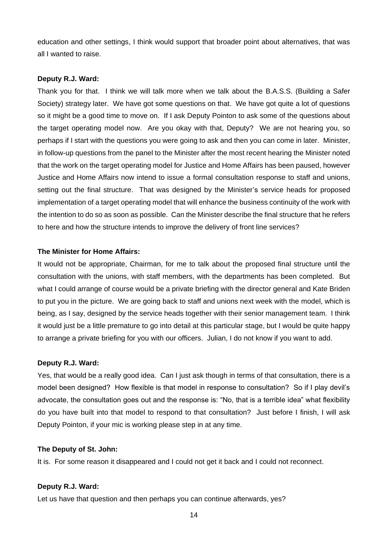education and other settings, I think would support that broader point about alternatives, that was all I wanted to raise.

#### **Deputy R.J. Ward:**

Thank you for that. I think we will talk more when we talk about the B.A.S.S. (Building a Safer Society) strategy later. We have got some questions on that. We have got quite a lot of questions so it might be a good time to move on. If I ask Deputy Pointon to ask some of the questions about the target operating model now. Are you okay with that, Deputy? We are not hearing you, so perhaps if I start with the questions you were going to ask and then you can come in later. Minister, in follow-up questions from the panel to the Minister after the most recent hearing the Minister noted that the work on the target operating model for Justice and Home Affairs has been paused, however Justice and Home Affairs now intend to issue a formal consultation response to staff and unions, setting out the final structure. That was designed by the Minister's service heads for proposed implementation of a target operating model that will enhance the business continuity of the work with the intention to do so as soon as possible. Can the Minister describe the final structure that he refers to here and how the structure intends to improve the delivery of front line services?

#### **The Minister for Home Affairs:**

It would not be appropriate, Chairman, for me to talk about the proposed final structure until the consultation with the unions, with staff members, with the departments has been completed. But what I could arrange of course would be a private briefing with the director general and Kate Briden to put you in the picture. We are going back to staff and unions next week with the model, which is being, as I say, designed by the service heads together with their senior management team. I think it would just be a little premature to go into detail at this particular stage, but I would be quite happy to arrange a private briefing for you with our officers. Julian, I do not know if you want to add.

## **Deputy R.J. Ward:**

Yes, that would be a really good idea. Can I just ask though in terms of that consultation, there is a model been designed? How flexible is that model in response to consultation? So if I play devil's advocate, the consultation goes out and the response is: "No, that is a terrible idea" what flexibility do you have built into that model to respond to that consultation? Just before I finish, I will ask Deputy Pointon, if your mic is working please step in at any time.

#### **The Deputy of St. John:**

It is. For some reason it disappeared and I could not get it back and I could not reconnect.

#### **Deputy R.J. Ward:**

Let us have that question and then perhaps you can continue afterwards, yes?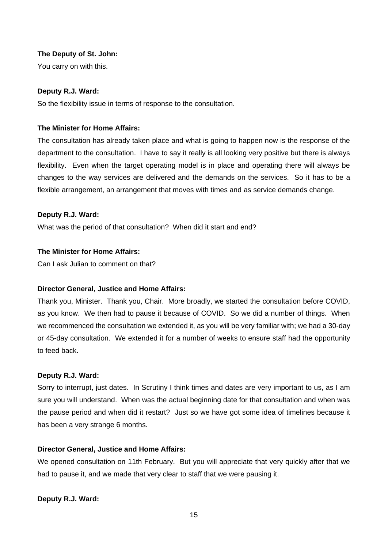## **The Deputy of St. John:**

You carry on with this.

## **Deputy R.J. Ward:**

So the flexibility issue in terms of response to the consultation.

# **The Minister for Home Affairs:**

The consultation has already taken place and what is going to happen now is the response of the department to the consultation. I have to say it really is all looking very positive but there is always flexibility. Even when the target operating model is in place and operating there will always be changes to the way services are delivered and the demands on the services. So it has to be a flexible arrangement, an arrangement that moves with times and as service demands change.

## **Deputy R.J. Ward:**

What was the period of that consultation? When did it start and end?

## **The Minister for Home Affairs:**

Can I ask Julian to comment on that?

# **Director General, Justice and Home Affairs:**

Thank you, Minister. Thank you, Chair. More broadly, we started the consultation before COVID, as you know. We then had to pause it because of COVID. So we did a number of things. When we recommenced the consultation we extended it, as you will be very familiar with; we had a 30-day or 45-day consultation. We extended it for a number of weeks to ensure staff had the opportunity to feed back.

# **Deputy R.J. Ward:**

Sorry to interrupt, just dates. In Scrutiny I think times and dates are very important to us, as I am sure you will understand. When was the actual beginning date for that consultation and when was the pause period and when did it restart? Just so we have got some idea of timelines because it has been a very strange 6 months.

# **Director General, Justice and Home Affairs:**

We opened consultation on 11th February. But you will appreciate that very quickly after that we had to pause it, and we made that very clear to staff that we were pausing it.

**Deputy R.J. Ward:**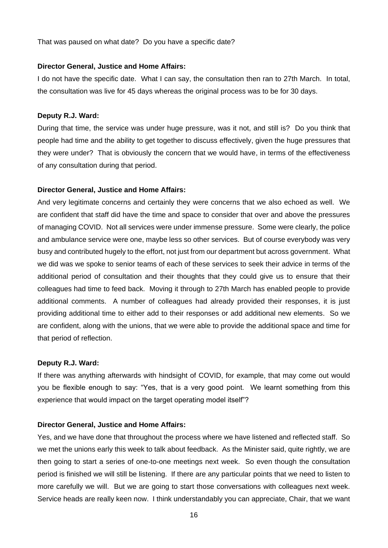That was paused on what date? Do you have a specific date?

#### **Director General, Justice and Home Affairs:**

I do not have the specific date. What I can say, the consultation then ran to 27th March. In total, the consultation was live for 45 days whereas the original process was to be for 30 days.

## **Deputy R.J. Ward:**

During that time, the service was under huge pressure, was it not, and still is? Do you think that people had time and the ability to get together to discuss effectively, given the huge pressures that they were under? That is obviously the concern that we would have, in terms of the effectiveness of any consultation during that period.

#### **Director General, Justice and Home Affairs:**

And very legitimate concerns and certainly they were concerns that we also echoed as well. We are confident that staff did have the time and space to consider that over and above the pressures of managing COVID. Not all services were under immense pressure. Some were clearly, the police and ambulance service were one, maybe less so other services. But of course everybody was very busy and contributed hugely to the effort, not just from our department but across government. What we did was we spoke to senior teams of each of these services to seek their advice in terms of the additional period of consultation and their thoughts that they could give us to ensure that their colleagues had time to feed back. Moving it through to 27th March has enabled people to provide additional comments. A number of colleagues had already provided their responses, it is just providing additional time to either add to their responses or add additional new elements. So we are confident, along with the unions, that we were able to provide the additional space and time for that period of reflection.

## **Deputy R.J. Ward:**

If there was anything afterwards with hindsight of COVID, for example, that may come out would you be flexible enough to say: "Yes, that is a very good point. We learnt something from this experience that would impact on the target operating model itself"?

#### **Director General, Justice and Home Affairs:**

Yes, and we have done that throughout the process where we have listened and reflected staff. So we met the unions early this week to talk about feedback. As the Minister said, quite rightly, we are then going to start a series of one-to-one meetings next week. So even though the consultation period is finished we will still be listening. If there are any particular points that we need to listen to more carefully we will. But we are going to start those conversations with colleagues next week. Service heads are really keen now. I think understandably you can appreciate, Chair, that we want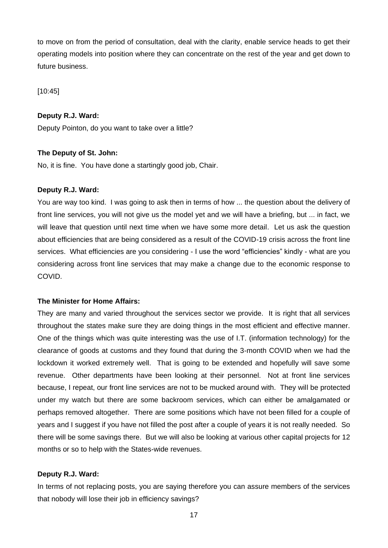to move on from the period of consultation, deal with the clarity, enable service heads to get their operating models into position where they can concentrate on the rest of the year and get down to future business.

[10:45]

# **Deputy R.J. Ward:**

Deputy Pointon, do you want to take over a little?

## **The Deputy of St. John:**

No, it is fine. You have done a startingly good job, Chair.

## **Deputy R.J. Ward:**

You are way too kind. I was going to ask then in terms of how ... the question about the delivery of front line services, you will not give us the model yet and we will have a briefing, but ... in fact, we will leave that question until next time when we have some more detail. Let us ask the question about efficiencies that are being considered as a result of the COVID-19 crisis across the front line services. What efficiencies are you considering - I use the word "efficiencies" kindly - what are you considering across front line services that may make a change due to the economic response to COVID.

## **The Minister for Home Affairs:**

They are many and varied throughout the services sector we provide. It is right that all services throughout the states make sure they are doing things in the most efficient and effective manner. One of the things which was quite interesting was the use of I.T. (information technology) for the clearance of goods at customs and they found that during the 3-month COVID when we had the lockdown it worked extremely well. That is going to be extended and hopefully will save some revenue. Other departments have been looking at their personnel. Not at front line services because, I repeat, our front line services are not to be mucked around with. They will be protected under my watch but there are some backroom services, which can either be amalgamated or perhaps removed altogether. There are some positions which have not been filled for a couple of years and I suggest if you have not filled the post after a couple of years it is not really needed. So there will be some savings there. But we will also be looking at various other capital projects for 12 months or so to help with the States-wide revenues.

#### **Deputy R.J. Ward:**

In terms of not replacing posts, you are saying therefore you can assure members of the services that nobody will lose their job in efficiency savings?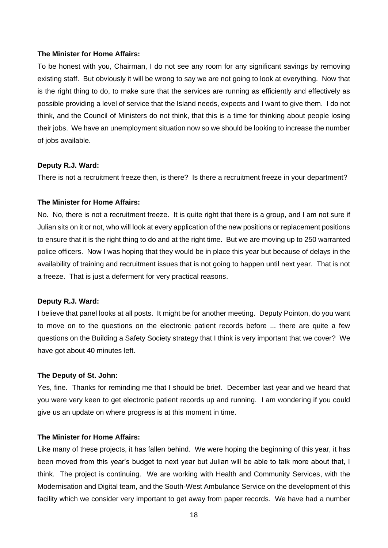#### **The Minister for Home Affairs:**

To be honest with you, Chairman, I do not see any room for any significant savings by removing existing staff. But obviously it will be wrong to say we are not going to look at everything. Now that is the right thing to do, to make sure that the services are running as efficiently and effectively as possible providing a level of service that the Island needs, expects and I want to give them. I do not think, and the Council of Ministers do not think, that this is a time for thinking about people losing their jobs. We have an unemployment situation now so we should be looking to increase the number of jobs available.

#### **Deputy R.J. Ward:**

There is not a recruitment freeze then, is there? Is there a recruitment freeze in your department?

## **The Minister for Home Affairs:**

No. No, there is not a recruitment freeze. It is quite right that there is a group, and I am not sure if Julian sits on it or not, who will look at every application of the new positions or replacement positions to ensure that it is the right thing to do and at the right time. But we are moving up to 250 warranted police officers. Now I was hoping that they would be in place this year but because of delays in the availability of training and recruitment issues that is not going to happen until next year. That is not a freeze. That is just a deferment for very practical reasons.

#### **Deputy R.J. Ward:**

I believe that panel looks at all posts. It might be for another meeting. Deputy Pointon, do you want to move on to the questions on the electronic patient records before ... there are quite a few questions on the Building a Safety Society strategy that I think is very important that we cover? We have got about 40 minutes left.

## **The Deputy of St. John:**

Yes, fine. Thanks for reminding me that I should be brief. December last year and we heard that you were very keen to get electronic patient records up and running. I am wondering if you could give us an update on where progress is at this moment in time.

#### **The Minister for Home Affairs:**

Like many of these projects, it has fallen behind. We were hoping the beginning of this year, it has been moved from this year's budget to next year but Julian will be able to talk more about that, I think. The project is continuing. We are working with Health and Community Services, with the Modernisation and Digital team, and the South-West Ambulance Service on the development of this facility which we consider very important to get away from paper records. We have had a number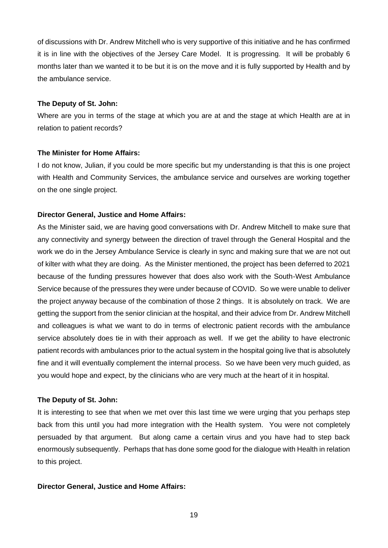of discussions with Dr. Andrew Mitchell who is very supportive of this initiative and he has confirmed it is in line with the objectives of the Jersey Care Model. It is progressing. It will be probably 6 months later than we wanted it to be but it is on the move and it is fully supported by Health and by the ambulance service.

## **The Deputy of St. John:**

Where are you in terms of the stage at which you are at and the stage at which Health are at in relation to patient records?

#### **The Minister for Home Affairs:**

I do not know, Julian, if you could be more specific but my understanding is that this is one project with Health and Community Services, the ambulance service and ourselves are working together on the one single project.

#### **Director General, Justice and Home Affairs:**

As the Minister said, we are having good conversations with Dr. Andrew Mitchell to make sure that any connectivity and synergy between the direction of travel through the General Hospital and the work we do in the Jersey Ambulance Service is clearly in sync and making sure that we are not out of kilter with what they are doing. As the Minister mentioned, the project has been deferred to 2021 because of the funding pressures however that does also work with the South-West Ambulance Service because of the pressures they were under because of COVID. So we were unable to deliver the project anyway because of the combination of those 2 things. It is absolutely on track. We are getting the support from the senior clinician at the hospital, and their advice from Dr. Andrew Mitchell and colleagues is what we want to do in terms of electronic patient records with the ambulance service absolutely does tie in with their approach as well. If we get the ability to have electronic patient records with ambulances prior to the actual system in the hospital going live that is absolutely fine and it will eventually complement the internal process. So we have been very much guided, as you would hope and expect, by the clinicians who are very much at the heart of it in hospital.

#### **The Deputy of St. John:**

It is interesting to see that when we met over this last time we were urging that you perhaps step back from this until you had more integration with the Health system. You were not completely persuaded by that argument. But along came a certain virus and you have had to step back enormously subsequently. Perhaps that has done some good for the dialogue with Health in relation to this project.

#### **Director General, Justice and Home Affairs:**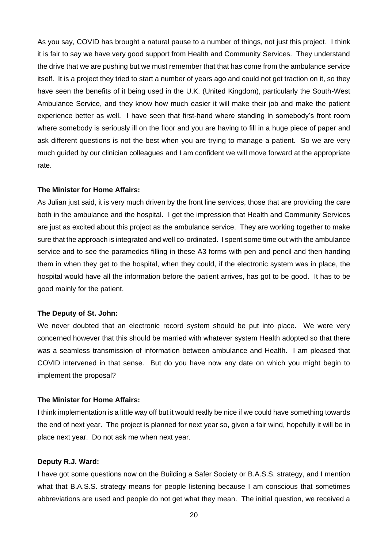As you say, COVID has brought a natural pause to a number of things, not just this project. I think it is fair to say we have very good support from Health and Community Services. They understand the drive that we are pushing but we must remember that that has come from the ambulance service itself. It is a project they tried to start a number of years ago and could not get traction on it, so they have seen the benefits of it being used in the U.K. (United Kingdom), particularly the South-West Ambulance Service, and they know how much easier it will make their job and make the patient experience better as well. I have seen that first-hand where standing in somebody's front room where somebody is seriously ill on the floor and you are having to fill in a huge piece of paper and ask different questions is not the best when you are trying to manage a patient. So we are very much guided by our clinician colleagues and I am confident we will move forward at the appropriate rate.

#### **The Minister for Home Affairs:**

As Julian just said, it is very much driven by the front line services, those that are providing the care both in the ambulance and the hospital. I get the impression that Health and Community Services are just as excited about this project as the ambulance service. They are working together to make sure that the approach is integrated and well co-ordinated. I spent some time out with the ambulance service and to see the paramedics filling in these A3 forms with pen and pencil and then handing them in when they get to the hospital, when they could, if the electronic system was in place, the hospital would have all the information before the patient arrives, has got to be good. It has to be good mainly for the patient.

## **The Deputy of St. John:**

We never doubted that an electronic record system should be put into place. We were very concerned however that this should be married with whatever system Health adopted so that there was a seamless transmission of information between ambulance and Health. I am pleased that COVID intervened in that sense. But do you have now any date on which you might begin to implement the proposal?

#### **The Minister for Home Affairs:**

I think implementation is a little way off but it would really be nice if we could have something towards the end of next year. The project is planned for next year so, given a fair wind, hopefully it will be in place next year. Do not ask me when next year.

#### **Deputy R.J. Ward:**

I have got some questions now on the Building a Safer Society or B.A.S.S. strategy, and I mention what that B.A.S.S. strategy means for people listening because I am conscious that sometimes abbreviations are used and people do not get what they mean. The initial question, we received a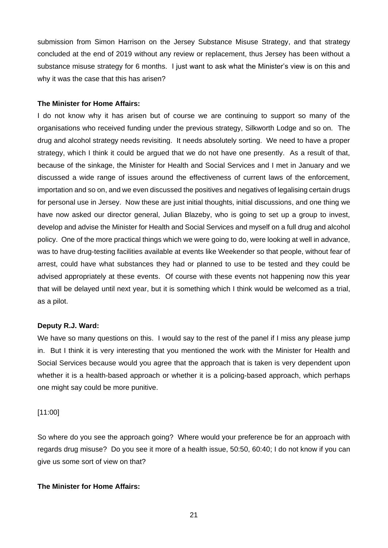submission from Simon Harrison on the Jersey Substance Misuse Strategy, and that strategy concluded at the end of 2019 without any review or replacement, thus Jersey has been without a substance misuse strategy for 6 months. I just want to ask what the Minister's view is on this and why it was the case that this has arisen?

#### **The Minister for Home Affairs:**

I do not know why it has arisen but of course we are continuing to support so many of the organisations who received funding under the previous strategy, Silkworth Lodge and so on. The drug and alcohol strategy needs revisiting. It needs absolutely sorting. We need to have a proper strategy, which I think it could be argued that we do not have one presently. As a result of that, because of the sinkage, the Minister for Health and Social Services and I met in January and we discussed a wide range of issues around the effectiveness of current laws of the enforcement, importation and so on, and we even discussed the positives and negatives of legalising certain drugs for personal use in Jersey. Now these are just initial thoughts, initial discussions, and one thing we have now asked our director general, Julian Blazeby, who is going to set up a group to invest, develop and advise the Minister for Health and Social Services and myself on a full drug and alcohol policy. One of the more practical things which we were going to do, were looking at well in advance, was to have drug-testing facilities available at events like Weekender so that people, without fear of arrest, could have what substances they had or planned to use to be tested and they could be advised appropriately at these events. Of course with these events not happening now this year that will be delayed until next year, but it is something which I think would be welcomed as a trial, as a pilot.

#### **Deputy R.J. Ward:**

We have so many questions on this. I would say to the rest of the panel if I miss any please jump in. But I think it is very interesting that you mentioned the work with the Minister for Health and Social Services because would you agree that the approach that is taken is very dependent upon whether it is a health-based approach or whether it is a policing-based approach, which perhaps one might say could be more punitive.

#### [11:00]

So where do you see the approach going? Where would your preference be for an approach with regards drug misuse? Do you see it more of a health issue, 50:50, 60:40; I do not know if you can give us some sort of view on that?

## **The Minister for Home Affairs:**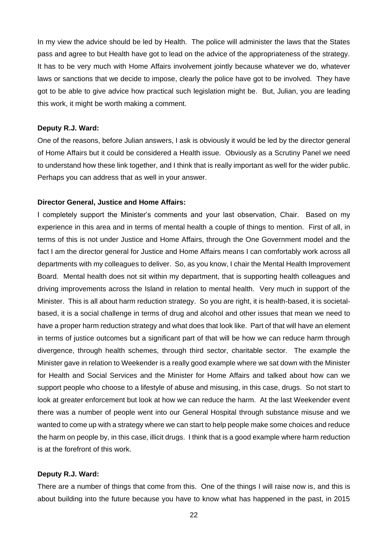In my view the advice should be led by Health. The police will administer the laws that the States pass and agree to but Health have got to lead on the advice of the appropriateness of the strategy. It has to be very much with Home Affairs involvement jointly because whatever we do, whatever laws or sanctions that we decide to impose, clearly the police have got to be involved. They have got to be able to give advice how practical such legislation might be. But, Julian, you are leading this work, it might be worth making a comment.

## **Deputy R.J. Ward:**

One of the reasons, before Julian answers, I ask is obviously it would be led by the director general of Home Affairs but it could be considered a Health issue. Obviously as a Scrutiny Panel we need to understand how these link together, and I think that is really important as well for the wider public. Perhaps you can address that as well in your answer.

## **Director General, Justice and Home Affairs:**

I completely support the Minister's comments and your last observation, Chair. Based on my experience in this area and in terms of mental health a couple of things to mention. First of all, in terms of this is not under Justice and Home Affairs, through the One Government model and the fact I am the director general for Justice and Home Affairs means I can comfortably work across all departments with my colleagues to deliver. So, as you know, I chair the Mental Health Improvement Board. Mental health does not sit within my department, that is supporting health colleagues and driving improvements across the Island in relation to mental health. Very much in support of the Minister. This is all about harm reduction strategy. So you are right, it is health-based, it is societalbased, it is a social challenge in terms of drug and alcohol and other issues that mean we need to have a proper harm reduction strategy and what does that look like. Part of that will have an element in terms of justice outcomes but a significant part of that will be how we can reduce harm through divergence, through health schemes, through third sector, charitable sector. The example the Minister gave in relation to Weekender is a really good example where we sat down with the Minister for Health and Social Services and the Minister for Home Affairs and talked about how can we support people who choose to a lifestyle of abuse and misusing, in this case, drugs. So not start to look at greater enforcement but look at how we can reduce the harm. At the last Weekender event there was a number of people went into our General Hospital through substance misuse and we wanted to come up with a strategy where we can start to help people make some choices and reduce the harm on people by, in this case, illicit drugs. I think that is a good example where harm reduction is at the forefront of this work.

#### **Deputy R.J. Ward:**

There are a number of things that come from this. One of the things I will raise now is, and this is about building into the future because you have to know what has happened in the past, in 2015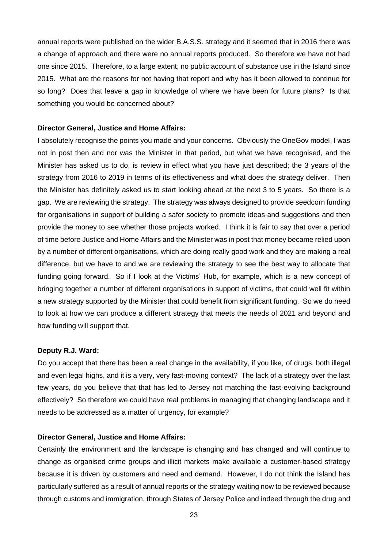annual reports were published on the wider B.A.S.S. strategy and it seemed that in 2016 there was a change of approach and there were no annual reports produced. So therefore we have not had one since 2015. Therefore, to a large extent, no public account of substance use in the Island since 2015. What are the reasons for not having that report and why has it been allowed to continue for so long? Does that leave a gap in knowledge of where we have been for future plans? Is that something you would be concerned about?

#### **Director General, Justice and Home Affairs:**

I absolutely recognise the points you made and your concerns. Obviously the OneGov model, I was not in post then and nor was the Minister in that period, but what we have recognised, and the Minister has asked us to do, is review in effect what you have just described; the 3 years of the strategy from 2016 to 2019 in terms of its effectiveness and what does the strategy deliver. Then the Minister has definitely asked us to start looking ahead at the next 3 to 5 years. So there is a gap. We are reviewing the strategy. The strategy was always designed to provide seedcorn funding for organisations in support of building a safer society to promote ideas and suggestions and then provide the money to see whether those projects worked. I think it is fair to say that over a period of time before Justice and Home Affairs and the Minister was in post that money became relied upon by a number of different organisations, which are doing really good work and they are making a real difference, but we have to and we are reviewing the strategy to see the best way to allocate that funding going forward. So if I look at the Victims' Hub, for example, which is a new concept of bringing together a number of different organisations in support of victims, that could well fit within a new strategy supported by the Minister that could benefit from significant funding. So we do need to look at how we can produce a different strategy that meets the needs of 2021 and beyond and how funding will support that.

#### **Deputy R.J. Ward:**

Do you accept that there has been a real change in the availability, if you like, of drugs, both illegal and even legal highs, and it is a very, very fast-moving context? The lack of a strategy over the last few years, do you believe that that has led to Jersey not matching the fast-evolving background effectively? So therefore we could have real problems in managing that changing landscape and it needs to be addressed as a matter of urgency, for example?

#### **Director General, Justice and Home Affairs:**

Certainly the environment and the landscape is changing and has changed and will continue to change as organised crime groups and illicit markets make available a customer-based strategy because it is driven by customers and need and demand. However, I do not think the Island has particularly suffered as a result of annual reports or the strategy waiting now to be reviewed because through customs and immigration, through States of Jersey Police and indeed through the drug and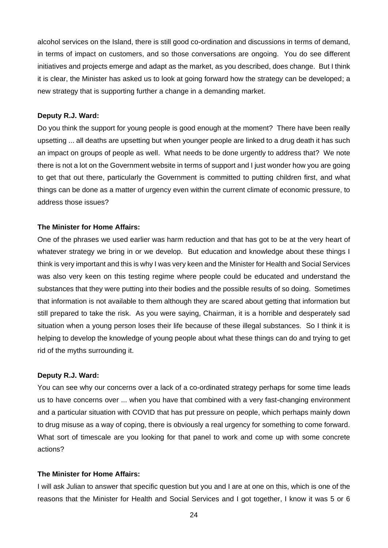alcohol services on the Island, there is still good co-ordination and discussions in terms of demand, in terms of impact on customers, and so those conversations are ongoing. You do see different initiatives and projects emerge and adapt as the market, as you described, does change. But I think it is clear, the Minister has asked us to look at going forward how the strategy can be developed; a new strategy that is supporting further a change in a demanding market.

## **Deputy R.J. Ward:**

Do you think the support for young people is good enough at the moment? There have been really upsetting ... all deaths are upsetting but when younger people are linked to a drug death it has such an impact on groups of people as well. What needs to be done urgently to address that? We note there is not a lot on the Government website in terms of support and I just wonder how you are going to get that out there, particularly the Government is committed to putting children first, and what things can be done as a matter of urgency even within the current climate of economic pressure, to address those issues?

#### **The Minister for Home Affairs:**

One of the phrases we used earlier was harm reduction and that has got to be at the very heart of whatever strategy we bring in or we develop. But education and knowledge about these things I think is very important and this is why I was very keen and the Minister for Health and Social Services was also very keen on this testing regime where people could be educated and understand the substances that they were putting into their bodies and the possible results of so doing. Sometimes that information is not available to them although they are scared about getting that information but still prepared to take the risk. As you were saying, Chairman, it is a horrible and desperately sad situation when a young person loses their life because of these illegal substances. So I think it is helping to develop the knowledge of young people about what these things can do and trying to get rid of the myths surrounding it.

#### **Deputy R.J. Ward:**

You can see why our concerns over a lack of a co-ordinated strategy perhaps for some time leads us to have concerns over ... when you have that combined with a very fast-changing environment and a particular situation with COVID that has put pressure on people, which perhaps mainly down to drug misuse as a way of coping, there is obviously a real urgency for something to come forward. What sort of timescale are you looking for that panel to work and come up with some concrete actions?

## **The Minister for Home Affairs:**

I will ask Julian to answer that specific question but you and I are at one on this, which is one of the reasons that the Minister for Health and Social Services and I got together, I know it was 5 or 6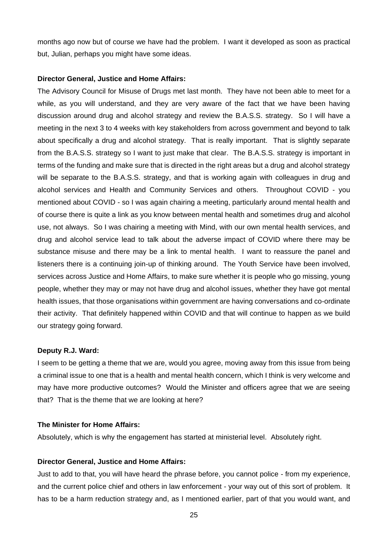months ago now but of course we have had the problem. I want it developed as soon as practical but, Julian, perhaps you might have some ideas.

#### **Director General, Justice and Home Affairs:**

The Advisory Council for Misuse of Drugs met last month. They have not been able to meet for a while, as you will understand, and they are very aware of the fact that we have been having discussion around drug and alcohol strategy and review the B.A.S.S. strategy. So I will have a meeting in the next 3 to 4 weeks with key stakeholders from across government and beyond to talk about specifically a drug and alcohol strategy. That is really important. That is slightly separate from the B.A.S.S. strategy so I want to just make that clear. The B.A.S.S. strategy is important in terms of the funding and make sure that is directed in the right areas but a drug and alcohol strategy will be separate to the B.A.S.S. strategy, and that is working again with colleagues in drug and alcohol services and Health and Community Services and others. Throughout COVID - you mentioned about COVID - so I was again chairing a meeting, particularly around mental health and of course there is quite a link as you know between mental health and sometimes drug and alcohol use, not always. So I was chairing a meeting with Mind, with our own mental health services, and drug and alcohol service lead to talk about the adverse impact of COVID where there may be substance misuse and there may be a link to mental health. I want to reassure the panel and listeners there is a continuing join-up of thinking around. The Youth Service have been involved, services across Justice and Home Affairs, to make sure whether it is people who go missing, young people, whether they may or may not have drug and alcohol issues, whether they have got mental health issues, that those organisations within government are having conversations and co-ordinate their activity. That definitely happened within COVID and that will continue to happen as we build our strategy going forward.

#### **Deputy R.J. Ward:**

I seem to be getting a theme that we are, would you agree, moving away from this issue from being a criminal issue to one that is a health and mental health concern, which I think is very welcome and may have more productive outcomes? Would the Minister and officers agree that we are seeing that? That is the theme that we are looking at here?

# **The Minister for Home Affairs:**

Absolutely, which is why the engagement has started at ministerial level. Absolutely right.

#### **Director General, Justice and Home Affairs:**

Just to add to that, you will have heard the phrase before, you cannot police - from my experience, and the current police chief and others in law enforcement - your way out of this sort of problem. It has to be a harm reduction strategy and, as I mentioned earlier, part of that you would want, and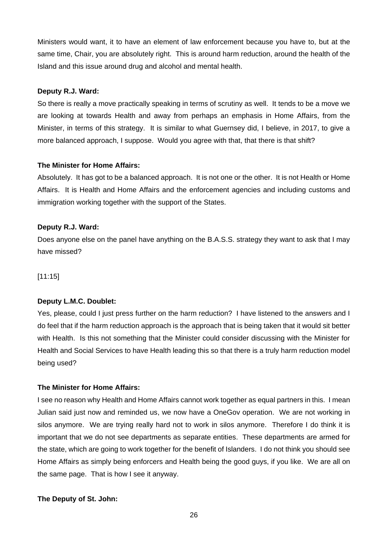Ministers would want, it to have an element of law enforcement because you have to, but at the same time, Chair, you are absolutely right. This is around harm reduction, around the health of the Island and this issue around drug and alcohol and mental health.

# **Deputy R.J. Ward:**

So there is really a move practically speaking in terms of scrutiny as well. It tends to be a move we are looking at towards Health and away from perhaps an emphasis in Home Affairs, from the Minister, in terms of this strategy. It is similar to what Guernsey did, I believe, in 2017, to give a more balanced approach, I suppose. Would you agree with that, that there is that shift?

# **The Minister for Home Affairs:**

Absolutely. It has got to be a balanced approach. It is not one or the other. It is not Health or Home Affairs. It is Health and Home Affairs and the enforcement agencies and including customs and immigration working together with the support of the States.

# **Deputy R.J. Ward:**

Does anyone else on the panel have anything on the B.A.S.S. strategy they want to ask that I may have missed?

[11:15]

# **Deputy L.M.C. Doublet:**

Yes, please, could I just press further on the harm reduction? I have listened to the answers and I do feel that if the harm reduction approach is the approach that is being taken that it would sit better with Health. Is this not something that the Minister could consider discussing with the Minister for Health and Social Services to have Health leading this so that there is a truly harm reduction model being used?

# **The Minister for Home Affairs:**

I see no reason why Health and Home Affairs cannot work together as equal partners in this. I mean Julian said just now and reminded us, we now have a OneGov operation. We are not working in silos anymore. We are trying really hard not to work in silos anymore. Therefore I do think it is important that we do not see departments as separate entities. These departments are armed for the state, which are going to work together for the benefit of Islanders. I do not think you should see Home Affairs as simply being enforcers and Health being the good guys, if you like. We are all on the same page. That is how I see it anyway.

# **The Deputy of St. John:**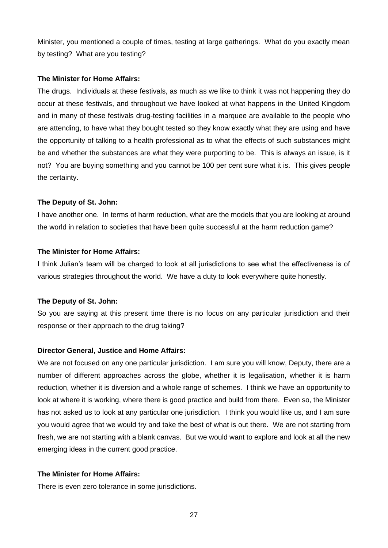Minister, you mentioned a couple of times, testing at large gatherings. What do you exactly mean by testing? What are you testing?

## **The Minister for Home Affairs:**

The drugs. Individuals at these festivals, as much as we like to think it was not happening they do occur at these festivals, and throughout we have looked at what happens in the United Kingdom and in many of these festivals drug-testing facilities in a marquee are available to the people who are attending, to have what they bought tested so they know exactly what they are using and have the opportunity of talking to a health professional as to what the effects of such substances might be and whether the substances are what they were purporting to be. This is always an issue, is it not? You are buying something and you cannot be 100 per cent sure what it is. This gives people the certainty.

## **The Deputy of St. John:**

I have another one. In terms of harm reduction, what are the models that you are looking at around the world in relation to societies that have been quite successful at the harm reduction game?

#### **The Minister for Home Affairs:**

I think Julian's team will be charged to look at all jurisdictions to see what the effectiveness is of various strategies throughout the world. We have a duty to look everywhere quite honestly.

#### **The Deputy of St. John:**

So you are saying at this present time there is no focus on any particular jurisdiction and their response or their approach to the drug taking?

#### **Director General, Justice and Home Affairs:**

We are not focused on any one particular jurisdiction. I am sure you will know, Deputy, there are a number of different approaches across the globe, whether it is legalisation, whether it is harm reduction, whether it is diversion and a whole range of schemes. I think we have an opportunity to look at where it is working, where there is good practice and build from there. Even so, the Minister has not asked us to look at any particular one jurisdiction. I think you would like us, and I am sure you would agree that we would try and take the best of what is out there. We are not starting from fresh, we are not starting with a blank canvas. But we would want to explore and look at all the new emerging ideas in the current good practice.

## **The Minister for Home Affairs:**

There is even zero tolerance in some jurisdictions.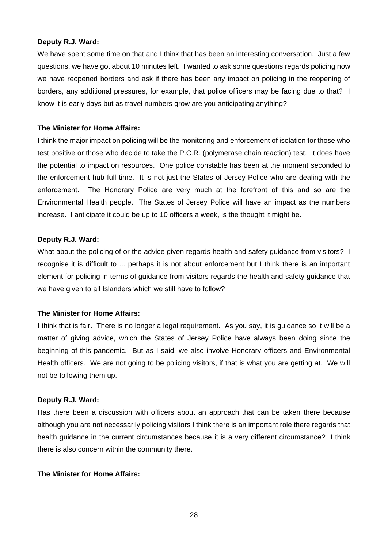#### **Deputy R.J. Ward:**

We have spent some time on that and I think that has been an interesting conversation. Just a few questions, we have got about 10 minutes left. I wanted to ask some questions regards policing now we have reopened borders and ask if there has been any impact on policing in the reopening of borders, any additional pressures, for example, that police officers may be facing due to that? I know it is early days but as travel numbers grow are you anticipating anything?

#### **The Minister for Home Affairs:**

I think the major impact on policing will be the monitoring and enforcement of isolation for those who test positive or those who decide to take the P.C.R. (polymerase chain reaction) test. It does have the potential to impact on resources. One police constable has been at the moment seconded to the enforcement hub full time. It is not just the States of Jersey Police who are dealing with the enforcement. The Honorary Police are very much at the forefront of this and so are the Environmental Health people. The States of Jersey Police will have an impact as the numbers increase. I anticipate it could be up to 10 officers a week, is the thought it might be.

## **Deputy R.J. Ward:**

What about the policing of or the advice given regards health and safety guidance from visitors? I recognise it is difficult to ... perhaps it is not about enforcement but I think there is an important element for policing in terms of guidance from visitors regards the health and safety guidance that we have given to all Islanders which we still have to follow?

# **The Minister for Home Affairs:**

I think that is fair. There is no longer a legal requirement. As you say, it is guidance so it will be a matter of giving advice, which the States of Jersey Police have always been doing since the beginning of this pandemic. But as I said, we also involve Honorary officers and Environmental Health officers. We are not going to be policing visitors, if that is what you are getting at. We will not be following them up.

## **Deputy R.J. Ward:**

Has there been a discussion with officers about an approach that can be taken there because although you are not necessarily policing visitors I think there is an important role there regards that health guidance in the current circumstances because it is a very different circumstance? I think there is also concern within the community there.

## **The Minister for Home Affairs:**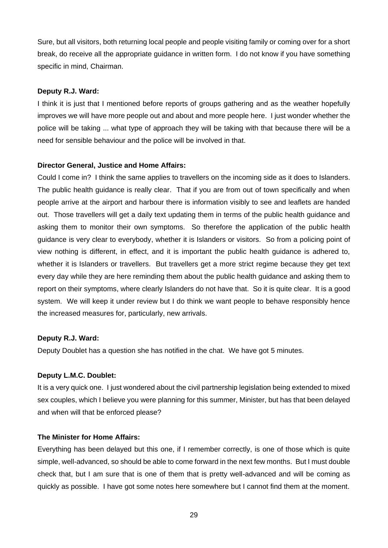Sure, but all visitors, both returning local people and people visiting family or coming over for a short break, do receive all the appropriate guidance in written form. I do not know if you have something specific in mind, Chairman.

## **Deputy R.J. Ward:**

I think it is just that I mentioned before reports of groups gathering and as the weather hopefully improves we will have more people out and about and more people here. I just wonder whether the police will be taking ... what type of approach they will be taking with that because there will be a need for sensible behaviour and the police will be involved in that.

## **Director General, Justice and Home Affairs:**

Could I come in? I think the same applies to travellers on the incoming side as it does to Islanders. The public health guidance is really clear. That if you are from out of town specifically and when people arrive at the airport and harbour there is information visibly to see and leaflets are handed out. Those travellers will get a daily text updating them in terms of the public health guidance and asking them to monitor their own symptoms. So therefore the application of the public health guidance is very clear to everybody, whether it is Islanders or visitors. So from a policing point of view nothing is different, in effect, and it is important the public health guidance is adhered to, whether it is Islanders or travellers. But travellers get a more strict regime because they get text every day while they are here reminding them about the public health guidance and asking them to report on their symptoms, where clearly Islanders do not have that. So it is quite clear. It is a good system. We will keep it under review but I do think we want people to behave responsibly hence the increased measures for, particularly, new arrivals.

## **Deputy R.J. Ward:**

Deputy Doublet has a question she has notified in the chat. We have got 5 minutes.

# **Deputy L.M.C. Doublet:**

It is a very quick one. I just wondered about the civil partnership legislation being extended to mixed sex couples, which I believe you were planning for this summer, Minister, but has that been delayed and when will that be enforced please?

## **The Minister for Home Affairs:**

Everything has been delayed but this one, if I remember correctly, is one of those which is quite simple, well-advanced, so should be able to come forward in the next few months. But I must double check that, but I am sure that is one of them that is pretty well-advanced and will be coming as quickly as possible. I have got some notes here somewhere but I cannot find them at the moment.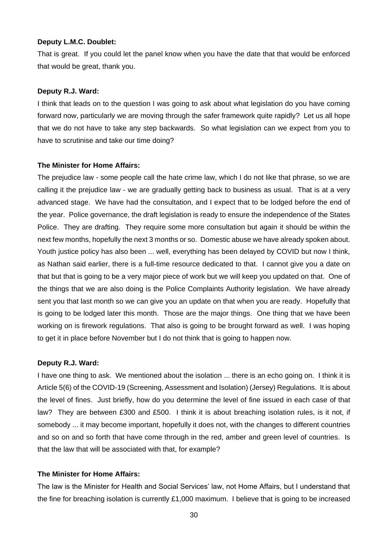#### **Deputy L.M.C. Doublet:**

That is great. If you could let the panel know when you have the date that that would be enforced that would be great, thank you.

#### **Deputy R.J. Ward:**

I think that leads on to the question I was going to ask about what legislation do you have coming forward now, particularly we are moving through the safer framework quite rapidly? Let us all hope that we do not have to take any step backwards. So what legislation can we expect from you to have to scrutinise and take our time doing?

#### **The Minister for Home Affairs:**

The prejudice law - some people call the hate crime law, which I do not like that phrase, so we are calling it the prejudice law - we are gradually getting back to business as usual. That is at a very advanced stage. We have had the consultation, and I expect that to be lodged before the end of the year. Police governance, the draft legislation is ready to ensure the independence of the States Police. They are drafting. They require some more consultation but again it should be within the next few months, hopefully the next 3 months or so. Domestic abuse we have already spoken about. Youth justice policy has also been ... well, everything has been delayed by COVID but now I think, as Nathan said earlier, there is a full-time resource dedicated to that. I cannot give you a date on that but that is going to be a very major piece of work but we will keep you updated on that. One of the things that we are also doing is the Police Complaints Authority legislation. We have already sent you that last month so we can give you an update on that when you are ready. Hopefully that is going to be lodged later this month. Those are the major things. One thing that we have been working on is firework regulations. That also is going to be brought forward as well. I was hoping to get it in place before November but I do not think that is going to happen now.

## **Deputy R.J. Ward:**

I have one thing to ask. We mentioned about the isolation ... there is an echo going on. I think it is Article 5(6) of the COVID-19 (Screening, Assessment and Isolation) (Jersey) Regulations. It is about the level of fines. Just briefly, how do you determine the level of fine issued in each case of that law? They are between £300 and £500. I think it is about breaching isolation rules, is it not, if somebody ... it may become important, hopefully it does not, with the changes to different countries and so on and so forth that have come through in the red, amber and green level of countries. Is that the law that will be associated with that, for example?

# **The Minister for Home Affairs:**

The law is the Minister for Health and Social Services' law, not Home Affairs, but I understand that the fine for breaching isolation is currently £1,000 maximum. I believe that is going to be increased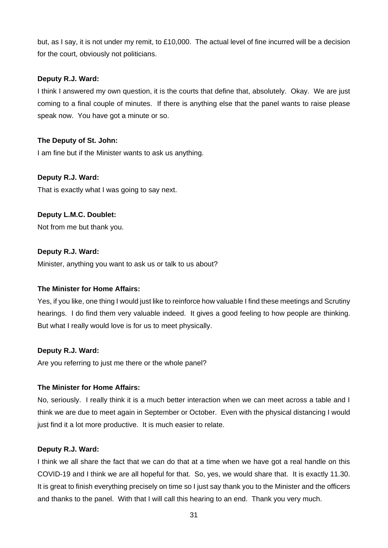but, as I say, it is not under my remit, to £10,000. The actual level of fine incurred will be a decision for the court, obviously not politicians.

# **Deputy R.J. Ward:**

I think I answered my own question, it is the courts that define that, absolutely. Okay. We are just coming to a final couple of minutes. If there is anything else that the panel wants to raise please speak now. You have got a minute or so.

# **The Deputy of St. John:**

I am fine but if the Minister wants to ask us anything.

## **Deputy R.J. Ward:**

That is exactly what I was going to say next.

## **Deputy L.M.C. Doublet:**

Not from me but thank you.

## **Deputy R.J. Ward:**

Minister, anything you want to ask us or talk to us about?

## **The Minister for Home Affairs:**

Yes, if you like, one thing I would just like to reinforce how valuable I find these meetings and Scrutiny hearings. I do find them very valuable indeed. It gives a good feeling to how people are thinking. But what I really would love is for us to meet physically.

## **Deputy R.J. Ward:**

Are you referring to just me there or the whole panel?

## **The Minister for Home Affairs:**

No, seriously. I really think it is a much better interaction when we can meet across a table and I think we are due to meet again in September or October. Even with the physical distancing I would just find it a lot more productive. It is much easier to relate.

## **Deputy R.J. Ward:**

I think we all share the fact that we can do that at a time when we have got a real handle on this COVID-19 and I think we are all hopeful for that. So, yes, we would share that. It is exactly 11.30. It is great to finish everything precisely on time so I just say thank you to the Minister and the officers and thanks to the panel. With that I will call this hearing to an end. Thank you very much.